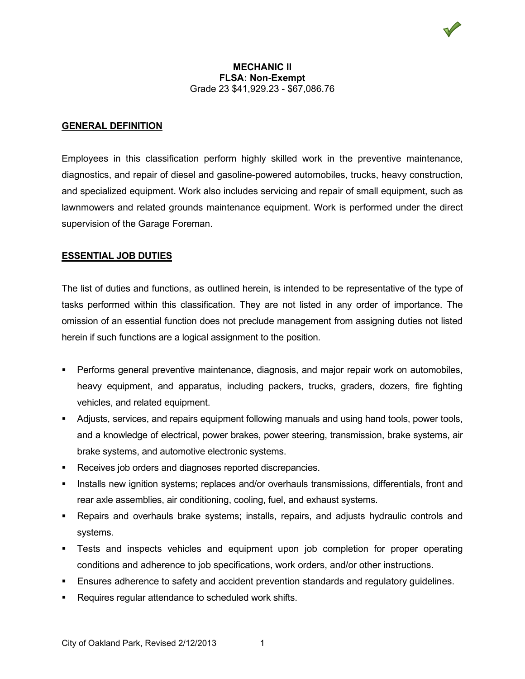#### **GENERAL DEFINITION**

Employees in this classification perform highly skilled work in the preventive maintenance, diagnostics, and repair of diesel and gasoline-powered automobiles, trucks, heavy construction, and specialized equipment. Work also includes servicing and repair of small equipment, such as lawnmowers and related grounds maintenance equipment. Work is performed under the direct supervision of the Garage Foreman.

#### **ESSENTIAL JOB DUTIES**

The list of duties and functions, as outlined herein, is intended to be representative of the type of tasks performed within this classification. They are not listed in any order of importance. The omission of an essential function does not preclude management from assigning duties not listed herein if such functions are a logical assignment to the position.

- Performs general preventive maintenance, diagnosis, and major repair work on automobiles, heavy equipment, and apparatus, including packers, trucks, graders, dozers, fire fighting vehicles, and related equipment.
- Adjusts, services, and repairs equipment following manuals and using hand tools, power tools, and a knowledge of electrical, power brakes, power steering, transmission, brake systems, air brake systems, and automotive electronic systems.
- Receives job orders and diagnoses reported discrepancies.
- Installs new ignition systems; replaces and/or overhauls transmissions, differentials, front and rear axle assemblies, air conditioning, cooling, fuel, and exhaust systems.
- Repairs and overhauls brake systems; installs, repairs, and adjusts hydraulic controls and systems.
- Tests and inspects vehicles and equipment upon job completion for proper operating conditions and adherence to job specifications, work orders, and/or other instructions.
- Ensures adherence to safety and accident prevention standards and regulatory guidelines.
- Requires regular attendance to scheduled work shifts.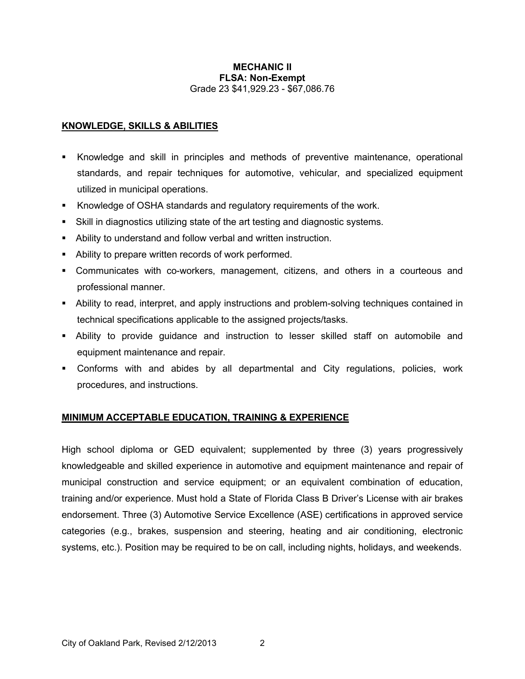## **KNOWLEDGE, SKILLS & ABILITIES**

- Knowledge and skill in principles and methods of preventive maintenance, operational standards, and repair techniques for automotive, vehicular, and specialized equipment utilized in municipal operations.
- Knowledge of OSHA standards and regulatory requirements of the work.
- Skill in diagnostics utilizing state of the art testing and diagnostic systems.
- Ability to understand and follow verbal and written instruction.
- Ability to prepare written records of work performed.
- Communicates with co-workers, management, citizens, and others in a courteous and professional manner.
- Ability to read, interpret, and apply instructions and problem-solving techniques contained in technical specifications applicable to the assigned projects/tasks.
- Ability to provide guidance and instruction to lesser skilled staff on automobile and equipment maintenance and repair.
- Conforms with and abides by all departmental and City regulations, policies, work procedures, and instructions.

# **MINIMUM ACCEPTABLE EDUCATION, TRAINING & EXPERIENCE**

High school diploma or GED equivalent; supplemented by three (3) years progressively knowledgeable and skilled experience in automotive and equipment maintenance and repair of municipal construction and service equipment; or an equivalent combination of education, training and/or experience. Must hold a State of Florida Class B Driver's License with air brakes endorsement. Three (3) Automotive Service Excellence (ASE) certifications in approved service categories (e.g., brakes, suspension and steering, heating and air conditioning, electronic systems, etc.). Position may be required to be on call, including nights, holidays, and weekends.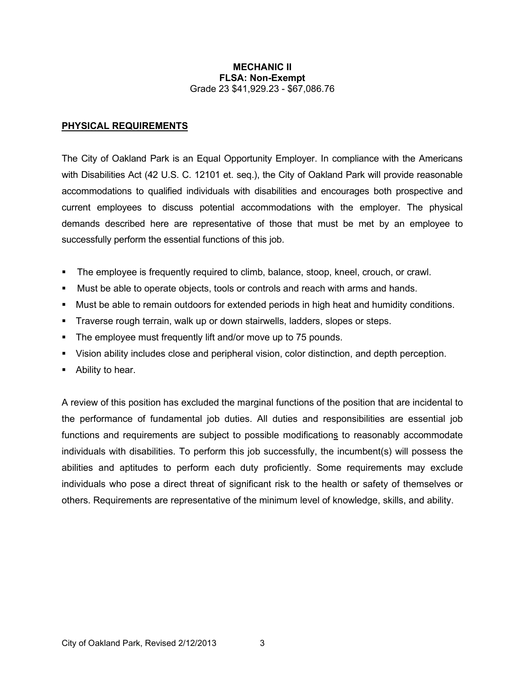#### **PHYSICAL REQUIREMENTS**

The City of Oakland Park is an Equal Opportunity Employer. In compliance with the Americans with Disabilities Act (42 U.S. C. 12101 et. seq.), the City of Oakland Park will provide reasonable accommodations to qualified individuals with disabilities and encourages both prospective and current employees to discuss potential accommodations with the employer. The physical demands described here are representative of those that must be met by an employee to successfully perform the essential functions of this job.

- The employee is frequently required to climb, balance, stoop, kneel, crouch, or crawl.
- Must be able to operate objects, tools or controls and reach with arms and hands.
- Must be able to remain outdoors for extended periods in high heat and humidity conditions.
- Traverse rough terrain, walk up or down stairwells, ladders, slopes or steps.
- The employee must frequently lift and/or move up to 75 pounds.
- Vision ability includes close and peripheral vision, color distinction, and depth perception.
- Ability to hear.

A review of this position has excluded the marginal functions of the position that are incidental to the performance of fundamental job duties. All duties and responsibilities are essential job functions and requirements are subject to possible modifications to reasonably accommodate individuals with disabilities. To perform this job successfully, the incumbent(s) will possess the abilities and aptitudes to perform each duty proficiently. Some requirements may exclude individuals who pose a direct threat of significant risk to the health or safety of themselves or others. Requirements are representative of the minimum level of knowledge, skills, and ability.